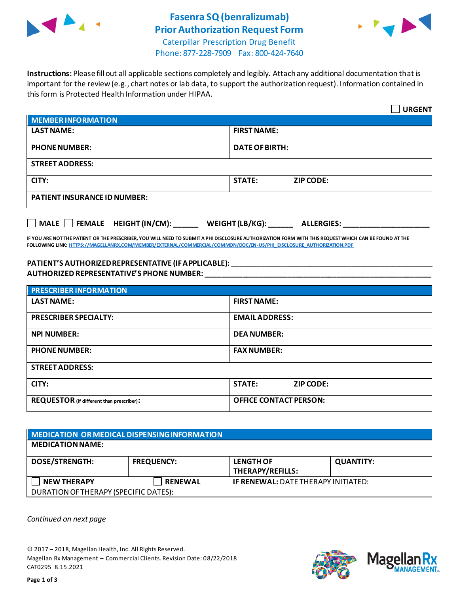

# **Fasenra SQ (benralizumab) Prior Authorization Request Form**



Caterpillar Prescription Drug Benefit Phone: 877-228-7909 Fax: 800-424-7640

**Instructions:** Please fill out all applicable sections completely and legibly. Attach any additional documentation that is important for the review (e.g., chart notes or lab data, to support the authorization request). Information contained in this form is Protected Health Information under HIPAA.

|                                           | <b>URGENT</b>                        |  |  |
|-------------------------------------------|--------------------------------------|--|--|
| <b>MEMBER INFORMATION</b>                 |                                      |  |  |
| <b>LAST NAME:</b>                         | <b>FIRST NAME:</b>                   |  |  |
| <b>PHONE NUMBER:</b>                      | <b>DATE OF BIRTH:</b>                |  |  |
| <b>STREET ADDRESS:</b>                    |                                      |  |  |
| CITY:                                     | <b>STATE:</b><br><b>ZIP CODE:</b>    |  |  |
| <b>PATIENT INSURANCE ID NUMBER:</b>       |                                      |  |  |
| $\Box$ MALE $\Box$ FEMALE HEIGHT (IN/CM): | WEIGHT (LB/KG):<br><b>ALLERGIES:</b> |  |  |

**IF YOU ARE NOT THE PATIENT OR THE PRESCRIBER, YOU WILL NEED TO SUBMIT A PHI DISCLOSURE AUTHORIZATION FORM WITH THIS REQUEST WHICH CAN BE FOUND AT THE FOLLOWING LINK[: HTTPS://MAGELLANRX.COM/MEMBER/EXTERNAL/COMMERCIAL/COMMON/DOC/EN-US/PHI\\_DISCLOSURE\\_AUTHORIZATION.PDF](https://magellanrx.com/member/external/commercial/common/doc/en-us/PHI_Disclosure_Authorization.pdf)**

#### **PATIENT'S AUTHORIZED REPRESENTATIVE (IF APPLICABLE): \_\_\_\_\_\_\_\_\_\_\_\_\_\_\_\_\_\_\_\_\_\_\_\_\_\_\_\_\_\_\_\_\_\_\_\_\_\_\_\_\_\_\_\_\_\_\_\_\_ AUTHORIZED REPRESENTATIVE'S PHONE NUMBER: \_\_\_\_\_\_\_\_\_\_\_\_\_\_\_\_\_\_\_\_\_\_\_\_\_\_\_\_\_\_\_\_\_\_\_\_\_\_\_\_\_\_\_\_\_\_\_\_\_\_\_\_\_\_\_**

| <b>PRESCRIBER INFORMATION</b>             |                               |  |
|-------------------------------------------|-------------------------------|--|
| <b>LAST NAME:</b>                         | <b>FIRST NAME:</b>            |  |
| <b>PRESCRIBER SPECIALTY:</b>              | <b>EMAIL ADDRESS:</b>         |  |
| <b>NPI NUMBER:</b>                        | <b>DEA NUMBER:</b>            |  |
| <b>PHONE NUMBER:</b>                      | <b>FAX NUMBER:</b>            |  |
| <b>STREET ADDRESS:</b>                    |                               |  |
| CITY:                                     | <b>STATE:</b><br>ZIP CODE:    |  |
| REQUESTOR (if different than prescriber): | <b>OFFICE CONTACT PERSON:</b> |  |

| MEDICATION OR MEDICAL DISPENSING INFORMATION |                   |                                             |                  |  |  |
|----------------------------------------------|-------------------|---------------------------------------------|------------------|--|--|
| <b>MEDICATION NAME:</b>                      |                   |                                             |                  |  |  |
| <b>DOSE/STRENGTH:</b>                        | <b>FREQUENCY:</b> | <b>LENGTH OF</b><br><b>THERAPY/REFILLS:</b> | <b>QUANTITY:</b> |  |  |
| <b>NEW THERAPY</b>                           | <b>RENEWAL</b>    | <b>IF RENEWAL: DATE THERAPY INITIATED:</b>  |                  |  |  |
| DURATION OF THERAPY (SPECIFIC DATES):        |                   |                                             |                  |  |  |

*Continued on next page*

© 2017 – 2018, Magellan Health, Inc. All Rights Reserved. Magellan Rx Management – Commercial Clients. Revision Date: 08/22/2018 CAT0295 8.15.2021



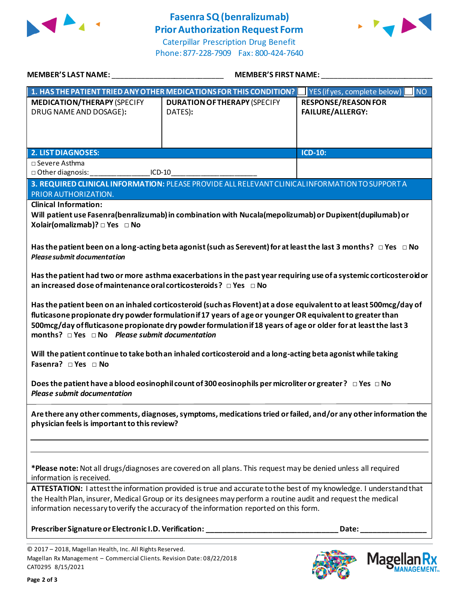

## **Fasenra SQ(benralizumab) Prior Authorization Request Form**





| <b>MEMBER'S LAST NAME:</b>                                                                                                                               | <b>MEMBER'S FIRST NAME:</b>                                                                                                                                                                                                                                                                                                                        |                                                                                                                     |
|----------------------------------------------------------------------------------------------------------------------------------------------------------|----------------------------------------------------------------------------------------------------------------------------------------------------------------------------------------------------------------------------------------------------------------------------------------------------------------------------------------------------|---------------------------------------------------------------------------------------------------------------------|
|                                                                                                                                                          | 1. HAS THE PATIENT TRIED ANY OTHER MEDICATIONS FOR THIS CONDITION?                                                                                                                                                                                                                                                                                 | I <sub>NO</sub><br>YES (if yes, complete below)                                                                     |
| <b>MEDICATION/THERAPY (SPECIFY</b><br>DRUG NAME AND DOSAGE):                                                                                             | <b>DURATION OF THERAPY (SPECIFY</b><br>DATES):                                                                                                                                                                                                                                                                                                     | <b>RESPONSE/REASON FOR</b><br><b>FAILURE/ALLERGY:</b>                                                               |
| <b>2. LIST DIAGNOSES:</b>                                                                                                                                |                                                                                                                                                                                                                                                                                                                                                    | <b>ICD-10:</b>                                                                                                      |
| □ Severe Asthma                                                                                                                                          |                                                                                                                                                                                                                                                                                                                                                    |                                                                                                                     |
| □ Other diagnosis:                                                                                                                                       | $ICD-10$                                                                                                                                                                                                                                                                                                                                           |                                                                                                                     |
| PRIOR AUTHORIZATION.                                                                                                                                     | 3. REQUIRED CLINICAL INFORMATION: PLEASE PROVIDE ALL RELEVANT CLINICAL INFORMATION TO SUPPORT A                                                                                                                                                                                                                                                    |                                                                                                                     |
| <b>Clinical Information:</b><br>Xolair(omalizmab)? □ Yes □ No                                                                                            | Will patient use Fasenra(benralizumab) in combination with Nucala(mepolizumab) or Dupixent(dupilumab) or<br>Has the patient been on a long-acting beta agonist (such as Serevent) for at least the last 3 months? $\Box$ Yes $\Box$ No                                                                                                             |                                                                                                                     |
| <b>Please submit documentation</b><br>an increased dose of maintenance oral corticosteroids? $\Box$ Yes $\Box$ No                                        |                                                                                                                                                                                                                                                                                                                                                    | Has the patient had two or more asthma exacerbations in the past year requiring use of a systemic corticosteroid or |
| months? $\Box$ Yes $\Box$ No Please submit documentation                                                                                                 | Has the patient been on an inhaled corticosteroid (such as Flovent) at a dose equivalent to at least 500mcg/day of<br>fluticasone propionate dry powder formulation if 17 years of age or younger OR equivalent to greater than<br>500mcg/day of fluticasone propionate dry powder formulation if 18 years of age or older for at least the last 3 |                                                                                                                     |
| Fasenra? DYes DNo                                                                                                                                        | Will the patient continue to take both an inhaled corticosteroid and a long-acting beta agonist while taking                                                                                                                                                                                                                                       |                                                                                                                     |
| <b>Please submit documentation</b>                                                                                                                       | Does the patient have a blood eosinophil count of 300 eosinophils per microliter or greater? $\Box$ Yes $\Box$ No                                                                                                                                                                                                                                  |                                                                                                                     |
| physician feels is important to this review?                                                                                                             |                                                                                                                                                                                                                                                                                                                                                    | Are there any other comments, diagnoses, symptoms, medications tried or failed, and/or any other information the    |
|                                                                                                                                                          | *Please note: Not all drugs/diagnoses are covered on all plans. This request may be denied unless all required                                                                                                                                                                                                                                     |                                                                                                                     |
| information is received.                                                                                                                                 | ATTESTATION: I attest the information provided is true and accurate to the best of my knowledge. I understand that<br>the Health Plan, insurer, Medical Group or its designees may perform a routine audit and request the medical<br>information necessary to verify the accuracy of the information reported on this form.                       |                                                                                                                     |
| Prescriber Signature or Electronic I.D. Verification:                                                                                                    |                                                                                                                                                                                                                                                                                                                                                    | Date:                                                                                                               |
| © 2017 - 2018, Magellan Health, Inc. All Rights Reserved.<br>Magellan Rx Management - Commercial Clients. Revision Date: 08/22/2018<br>CAT0295 8/15/2021 |                                                                                                                                                                                                                                                                                                                                                    | <b>Mage</b>                                                                                                         |